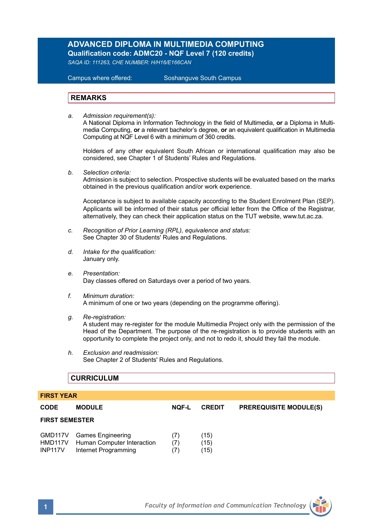## **ADVANCED DIPLOMA IN MULTIMEDIA COMPUTING Qualification code: ADMC20 - NQF Level 7 (120 credits)**

*SAQA ID: 111263, CHE NUMBER: H/H16/E166CAN* 

**Campus where offered:** 

Soshanguve South Campus

## **REMARKS**

*a. Admission requirement(s):* 

A National Diploma in Information Technology in the field of Multimedia, **or** a Diploma in Multimedia Computing, **or** a relevant bachelor's degree, **or** an equivalent qualification in Multimedia Computing at NQF Level 6 with a minimum of 360 credits.

Holders of any other equivalent South African or international qualification may also be considered, see Chapter 1 of Students' Rules and Regulations.

*b. Selection criteria:*

Admission is subject to selection. Prospective students will be evaluated based on the marks obtained in the previous qualification and/or work experience.

Acceptance is subject to available capacity according to the Student Enrolment Plan (SEP). Applicants will be informed of their status per official letter from the Office of the Registrar, alternatively, they can check their application status on the TUT website, www.tut.ac.za.

- *c. Recognition of Prior Learning (RPL), equivalence and status:* See Chapter 30 of Students' Rules and Regulations.
- *d. Intake for the qualification:* January only.
- *e. Presentation:* Day classes offered on Saturdays over a period of two years.
- *f. Minimum duration:* A minimum of one or two years (depending on the programme offering).
- *g. Re-registration:*

A student may re-register for the module Multimedia Project only with the permission of the Head of the Department. The purpose of the re-registration is to provide students with an opportunity to complete the project only, and not to redo it, should they fail the module.

*h. Exclusion and readmission:* See Chapter 2 of Students' Rules and Regulations.

## **CURRICULUM**

## **FIRST YEAR**

| <b>CODE</b>               | <b>MODULE</b>                                                                   | <b>NOF-L</b>      | <b>CREDIT</b>        | <b>PREREQUISITE MODULE(S)</b> |
|---------------------------|---------------------------------------------------------------------------------|-------------------|----------------------|-------------------------------|
| <b>FIRST SEMESTER</b>     |                                                                                 |                   |                      |                               |
| HMD117V<br><b>INP117V</b> | GMD117V Games Engineering<br>Human Computer Interaction<br>Internet Programming | (7)<br>(7)<br>(7) | (15)<br>(15)<br>(15) |                               |

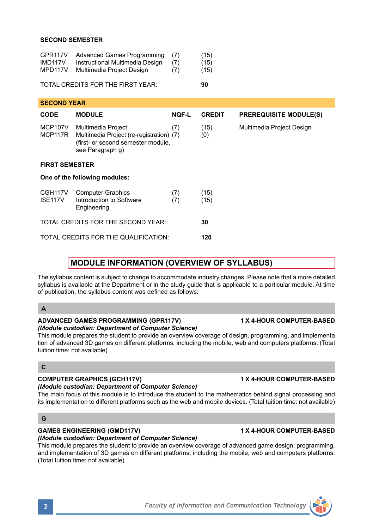## **SECOND SEMESTER**

| GPR117V | Advanced Games Programming      | (7) | (15) |
|---------|---------------------------------|-----|------|
| IMD117V | Instructional Multimedia Design | (7) | (15) |
| MPD117V | Multimedia Project Design       | (7) | (15) |

### TOTAL CREDITS FOR THE FIRST YEAR: **90**

| <b>SECOND YEAR</b>                    |                                                                                                                          |              |               |                               |  |  |  |  |
|---------------------------------------|--------------------------------------------------------------------------------------------------------------------------|--------------|---------------|-------------------------------|--|--|--|--|
| <b>CODE</b>                           | <b>MODULE</b>                                                                                                            | <b>NQF-L</b> | <b>CREDIT</b> | <b>PREREQUISITE MODULE(S)</b> |  |  |  |  |
| MCP107V<br>MCP117R                    | Multimedia Project<br>Multimedia Project (re-registration) (7)<br>(first- or second semester module,<br>see Paragraph q) | (7)          | (15)<br>(0)   | Multimedia Project Design     |  |  |  |  |
| <b>FIRST SEMESTER</b>                 |                                                                                                                          |              |               |                               |  |  |  |  |
| One of the following modules:         |                                                                                                                          |              |               |                               |  |  |  |  |
| CGH <sub>117V</sub><br><b>ISE117V</b> | <b>Computer Graphics</b><br>Introduction to Software<br>Engineering                                                      | (7)<br>(7)   | (15)<br>(15)  |                               |  |  |  |  |
|                                       | TOTAL CREDITS FOR THE SECOND YEAR:                                                                                       | 30           |               |                               |  |  |  |  |
|                                       | TOTAL CREDITS FOR THE QUALIFICATION:                                                                                     | 120          |               |                               |  |  |  |  |

# **MODULE INFORMATION (OVERVIEW OF SYLLABUS)**

The syllabus content is subject to change to accommodate industry changes. Please note that a more detailed syllabus is available at the Department or in the study guide that is applicable to a particular module. At time of publication, the syllabus content was defined as follows:

## **A**

# **ADVANCED GAMES PROGRAMMING (GPR117V) 1 X 4-HOUR COMPUTER-BASED**

# *(Module custodian: Department of Computer Science)*

This module prepares the student to provide an overview coverage of design, programming, and implementa tion of advanced 3D games on different platforms, including the mobile, web and computers platforms. (Total tuition time: not available)

## **C**

## **COMPUTER GRAPHICS (GCH117V) 1 X 4-HOUR COMPUTER-BASED**

*(Module custodian: Department of Computer Science)*

The main focus of this module is to introduce the student to the mathematics behind signal processing and its implementation to different platforms such as the web and mobile devices. (Total tuition time: not available)

## **G**

# **GAMES ENGINEERING (GMD117V) 1 X 4-HOUR COMPUTER-BASED**

## *(Module custodian: Department of Computer Science)*

This module prepares the student to provide an overview coverage of advanced game design, programming, and implementation of 3D games on different platforms, including the mobile, web and computers platforms. (Total tuition time: not available)